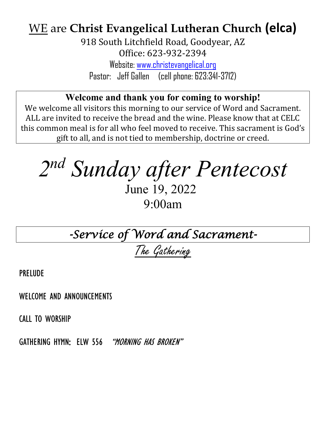# WE are **Christ Evangelical Lutheran Church (elca)**

918 South Litchfield Road, Goodyear, AZ Office: 623-932-2394 Website: [www.christevangelical.org](http://www.christevangelical.org/) Pastor: Jeff Gallen (cell phone: 623:341-3712)

## **Welcome and thank you for coming to worship!**

We welcome all visitors this morning to our service of Word and Sacrament. ALL are invited to receive the bread and the wine. Please know that at CELC this common meal is for all who feel moved to receive. This sacrament is God's gift to all, and is not tied to membership, doctrine or creed.

*2nd Sunday after Pentecost* June 19, 2022 9:00am

*-Service of Word and Sacrament-*

The Gathering

PRELUDE

WELCOME AND ANNOUNCEMENTS

CALL TO WORSHIP

GATHERING HYMN: ELW 556 "MORNING HAS BROKEN"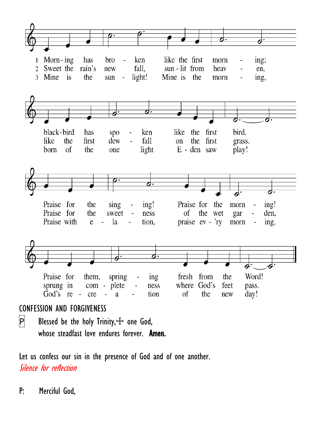

whose steadfast love endures forever. **Amen.** 

Let us confess our sin in the presence of God and of one another. Silence for reflection

P: Merciful God,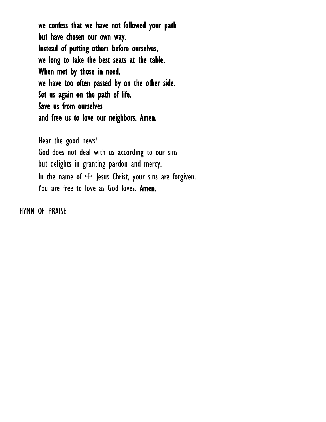we confess that we have not followed your path but have chosen our own way. Instead of putting others before ourselves, we long to take the best seats at the table. When met by those in need, we have too often passed by on the other side. Set us again on the path of life. Save us from ourselves and free us to love our neighbors. Amen.

Hear the good news! God does not deal with us according to our sins but delights in granting pardon and mercy. In the name of  $\pm$  Jesus Christ, your sins are forgiven. You are free to love as God loves. Amen.

HYMN OF PRAISE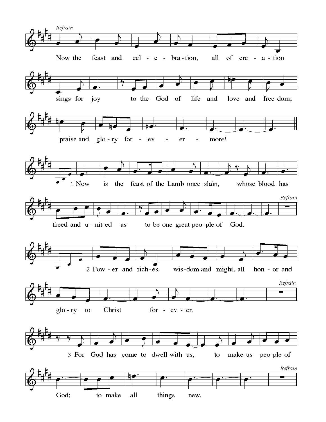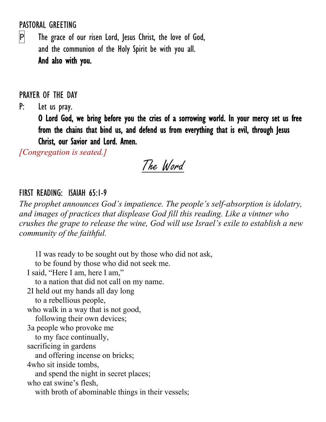## PASTORAL GREETING

 $|P|$  The grace of our risen Lord, Jesus Christ, the love of God, and the communion of the Holy Spirit be with you all. And also with you.

PRAYER OF THE DAY

P: Let us pray.

O Lord God, we bring before you the cries of a sorrowing world. In your mercy set us free from the chains that bind us, and defend us from everything that is evil, through Jesus Christ, our Savior and Lord. Amen.

*[Congregation is seated.]*

The Word

### FIRST READING: ISAIAH 65:1-9

*The prophet announces God's impatience. The people's self-absorption is idolatry, and images of practices that displease God fill this reading. Like a vintner who crushes the grape to release the wine, God will use Israel's exile to establish a new community of the faithful.*

 1I was ready to be sought out by those who did not ask, to be found by those who did not seek me. I said, "Here I am, here I am," to a nation that did not call on my name. 2I held out my hands all day long to a rebellious people, who walk in a way that is not good, following their own devices; 3a people who provoke me to my face continually, sacrificing in gardens and offering incense on bricks; 4who sit inside tombs, and spend the night in secret places; who eat swine's flesh, with broth of abominable things in their vessels;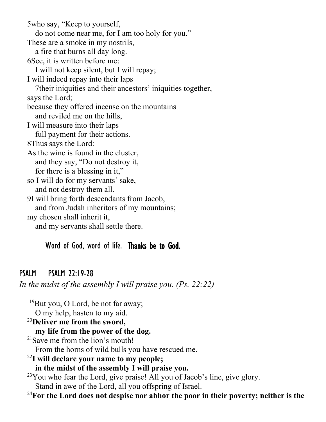5who say, "Keep to yourself, do not come near me, for I am too holy for you." These are a smoke in my nostrils, a fire that burns all day long. 6See, it is written before me: I will not keep silent, but I will repay; I will indeed repay into their laps 7their iniquities and their ancestors' iniquities together, says the Lord; because they offered incense on the mountains and reviled me on the hills, I will measure into their laps full payment for their actions. 8Thus says the Lord: As the wine is found in the cluster, and they say, "Do not destroy it, for there is a blessing in it," so I will do for my servants' sake, and not destroy them all. 9I will bring forth descendants from Jacob, and from Judah inheritors of my mountains; my chosen shall inherit it, and my servants shall settle there.

Word of God, word of life. Thanks be to God.

#### PSALM PSALM 22:19-28

*In the midst of the assembly I will praise you. (Ps. 22:22)*

 $19$ But you, O Lord, be not far away; O my help, hasten to my aid. <sup>20</sup>**Deliver me from the sword, my life from the power of the dog.** 21Save me from the lion's mouth! From the horns of wild bulls you have rescued me. <sup>22</sup>**I will declare your name to my people; in the midst of the assembly I will praise you.**  $23$ You who fear the Lord, give praise! All you of Jacob's line, give glory. Stand in awe of the Lord, all you offspring of Israel.

<sup>24</sup>For the Lord does not despise nor abhor the poor in their poverty; neither is the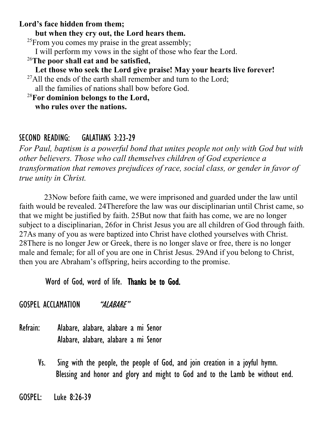**Lord's face hidden from them;**

**but when they cry out, the Lord hears them.**

 $25$ From you comes my praise in the great assembly;

I will perform my vows in the sight of those who fear the Lord.

<sup>26</sup>**The poor shall eat and be satisfied,**

**Let those who seek the Lord give praise! May your hearts live forever!**

 $27$ All the ends of the earth shall remember and turn to the Lord; all the families of nations shall bow before God.

<sup>28</sup>**For dominion belongs to the Lord, who rules over the nations.**

## SECOND READING: GALATIANS 3:23-29

*For Paul, baptism is a powerful bond that unites people not only with God but with other believers. Those who call themselves children of God experience a transformation that removes prejudices of race, social class, or gender in favor of true unity in Christ.*

 23Now before faith came, we were imprisoned and guarded under the law until faith would be revealed. 24Therefore the law was our disciplinarian until Christ came, so that we might be justified by faith. 25But now that faith has come, we are no longer subject to a disciplinarian, 26for in Christ Jesus you are all children of God through faith. 27As many of you as were baptized into Christ have clothed yourselves with Christ. 28There is no longer Jew or Greek, there is no longer slave or free, there is no longer male and female; for all of you are one in Christ Jesus. 29And if you belong to Christ, then you are Abraham's offspring, heirs according to the promise.

Word of God, word of life. Thanks be to God.

GOSPEL ACCLAMATION "ALABARE"

Refrain: Alabare, alabare, alabare a mi Senor Alabare, alabare, alabare a mi Senor

> Vs. Sing with the people, the people of God, and join creation in a joyful hymn. Blessing and honor and glory and might to God and to the Lamb be without end.

GOSPEL: Luke 8:26-39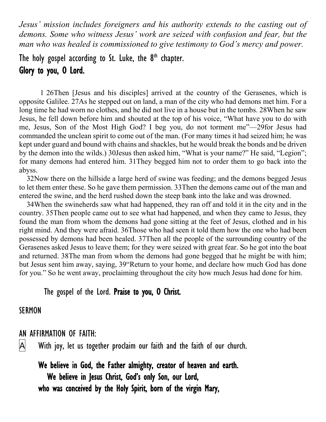*Jesus' mission includes foreigners and his authority extends to the casting out of demons. Some who witness Jesus' work are seized with confusion and fear, but the man who was healed is commissioned to give testimony to God's mercy and power.* 

The holy gospel according to St. Luke, the  $8<sup>th</sup>$  chapter. Glory to you, O Lord.

 1 26Then [Jesus and his disciples] arrived at the country of the Gerasenes, which is opposite Galilee. 27As he stepped out on land, a man of the city who had demons met him. For a long time he had worn no clothes, and he did not live in a house but in the tombs. 28When he saw Jesus, he fell down before him and shouted at the top of his voice, "What have you to do with me, Jesus, Son of the Most High God? I beg you, do not torment me"—29for Jesus had commanded the unclean spirit to come out of the man. (For many times it had seized him; he was kept under guard and bound with chains and shackles, but he would break the bonds and be driven by the demon into the wilds.) 30Jesus then asked him, "What is your name?" He said, "Legion"; for many demons had entered him. 31They begged him not to order them to go back into the abyss.

32Now there on the hillside a large herd of swine was feeding; and the demons begged Jesus to let them enter these. So he gave them permission. 33Then the demons came out of the man and entered the swine, and the herd rushed down the steep bank into the lake and was drowned.

34When the swineherds saw what had happened, they ran off and told it in the city and in the country. 35Then people came out to see what had happened, and when they came to Jesus, they found the man from whom the demons had gone sitting at the feet of Jesus, clothed and in his right mind. And they were afraid. 36Those who had seen it told them how the one who had been possessed by demons had been healed. 37Then all the people of the surrounding country of the Gerasenes asked Jesus to leave them; for they were seized with great fear. So he got into the boat and returned. 38The man from whom the demons had gone begged that he might be with him; but Jesus sent him away, saying, 39"Return to your home, and declare how much God has done for you." So he went away, proclaiming throughout the city how much Jesus had done for him.

### The gospel of the Lord. Praise to you, O Christ.

#### **SERMON**

AN AFFIRMATION OF FAITH:

 $\mathcal{A}$  With joy, let us together proclaim our faith and the faith of our church.

We believe in God, the Father almighty, creator of heaven and earth.

 We believe in Jesus Christ, God's only Son, our Lord, who was conceived by the Holy Spirit, born of the virgin Mary,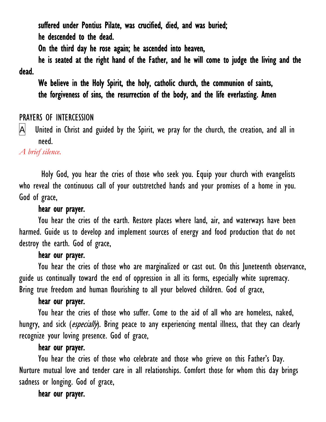suffered under Pontius Pilate, was crucified, died, and was buried;

he descended to the dead.

On the third day he rose again; he ascended into heaven,

he is seated at the right hand of the Father, and he will come to judge the living and the dead.

We believe in the Holy Spirit, the holy, catholic church, the communion of saints, the forgiveness of sins, the resurrection of the body, and the life everlasting. Amen

## PRAYERS OF INTERCESSION

 $|A|$  United in Christ and guided by the Spirit, we pray for the church, the creation, and all in need.

*A brief silence.*

Holy God, you hear the cries of those who seek you. Equip your church with evangelists who reveal the continuous call of your outstretched hands and your promises of a home in you. God of grace,

## hear our prayer.

You hear the cries of the earth. Restore places where land, air, and waterways have been harmed. Guide us to develop and implement sources of energy and food production that do not destroy the earth. God of grace,

### hear our prayer.

You hear the cries of those who are marginalized or cast out. On this Juneteenth observance, guide us continually toward the end of oppression in all its forms, especially white supremacy. Bring true freedom and human flourishing to all your beloved children. God of grace,

## hear our prayer.

You hear the cries of those who suffer. Come to the aid of all who are homeless, naked, hungry, and sick (*especially*). Bring peace to any experiencing mental illness, that they can clearly recognize your loving presence. God of grace,

### hear our prayer.

You hear the cries of those who celebrate and those who grieve on this Father's Day. Nurture mutual love and tender care in all relationships. Comfort those for whom this day brings sadness or longing. God of grace,

hear our prayer.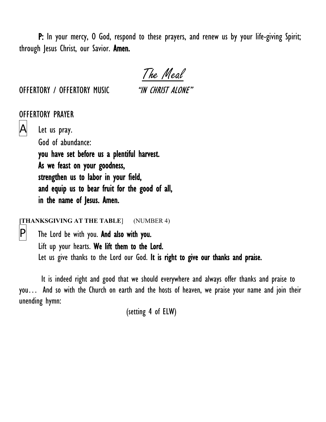P: In your mercy, O God, respond to these prayers, and renew us by your life-giving Spirit; through Jesus Christ, our Savior. Amen.

The Meal<br>OFFERTORY / OFFERTORY MUSIC "IN CHRIST ALONE"

## OFFERTORY PRAYER

 $|\mathsf{A}|$  Let us pray. God of abundance: you have set before us a plentiful harvest. As we feast on your goodness, strengthen us to labor in your field, and equip us to bear fruit for the good of all, in the name of Jesus. Amen.

**[THANKSGIVING AT THE TABLE**] (NUMBER 4)

 $|P|$  The Lord be with you. And also with you. Lift up your hearts. We lift them to the Lord. Let us give thanks to the Lord our God. It is right to give our thanks and praise.

It is indeed right and good that we should everywhere and always offer thanks and praise to you… And so with the Church on earth and the hosts of heaven, we praise your name and join their unending hymn:

(setting 4 of ELW)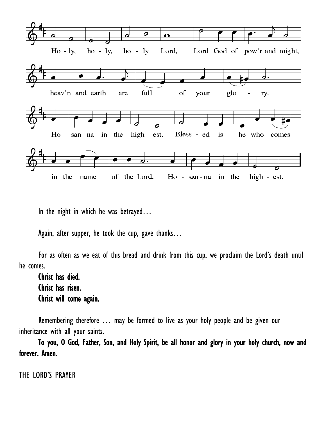

In the night in which he was betrayed…

Again, after supper, he took the cup, gave thanks…

For as often as we eat of this bread and drink from this cup, we proclaim the Lord's death until he comes.

Christ has died. Christ has risen. Christ will come again.

Remembering therefore … may be formed to live as your holy people and be given our inheritance with all your saints.

To you, O God, Father, Son, and Holy Spirit, be all honor and glory in your holy church, now and forever. Amen.

THE LORD'S PRAYER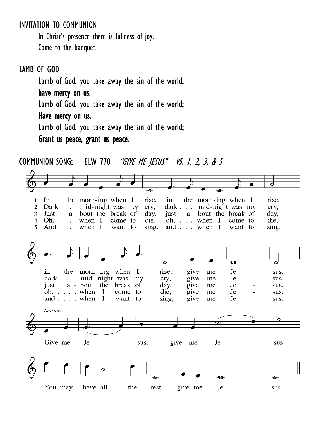#### INVITATION TO COMMUNION

In Christ's presence there is fullness of joy. Come to the banquet.

#### LAMB OF GOD

Lamb of God, you take away the sin of the world; have mercy on us. Lamb of God, you take away the sin of the world; Have mercy on us. Lamb of God, you take away the sin of the world; Grant us peace, grant us peace.

## COMMUNION SONG: ELW 770 "GIVE ME JESUS" VS. 1, 2, 3, & 5

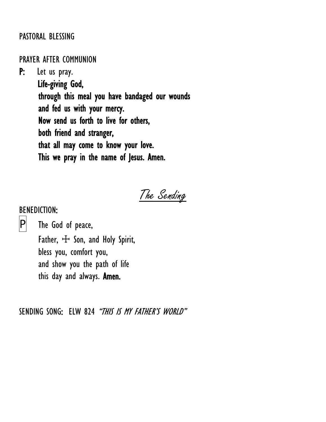## PASTORAL BLESSING

PRAYER AFTER COMMUNION

P: Let us pray. Life-giving God, through this meal you have bandaged our wounds and fed us with your mercy. Now send us forth to live for others, both friend and stranger, that all may come to know your love. This we pray in the name of Jesus. Amen.

The Sending

#### BENEDICTION:

 $|P|$  The God of peace,

Father,  $+$  Son, and Holy Spirit, bless you, comfort you, and show you the path of life this day and always. Amen.

SENDING SONG: ELW 824 "THIS IS MY FATHER'S WORLD"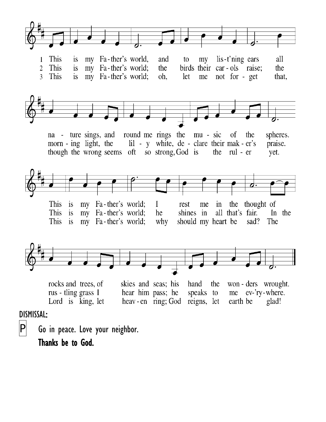

Thanks be to God.